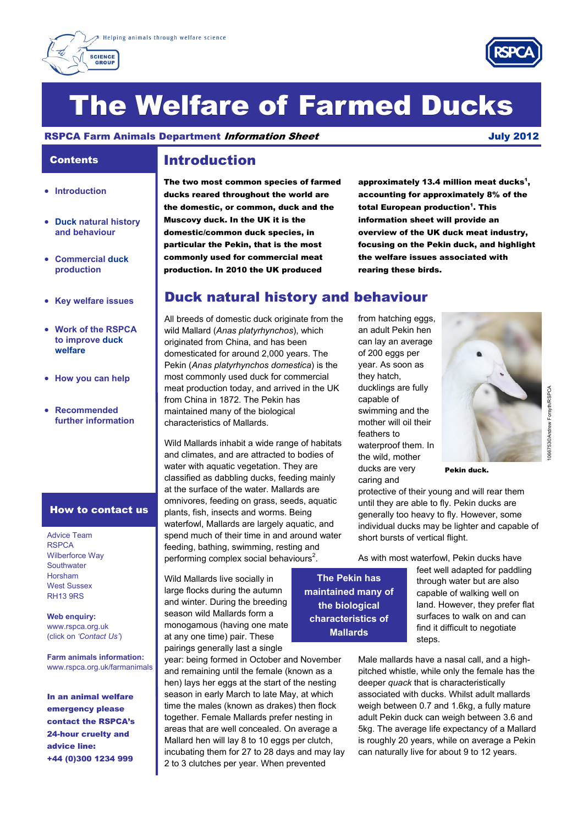



# The Welfare of Farmed Ducks

RSPCA Farm Animals Department *Information Sheet* Metal Animals 2012

## **Contents**

- **Introduction**
- **Duck natural history and behaviour**
- **Commercial duck production**
- **Key welfare issues**
- **Work of the RSPCA to improve duck welfare**
- **How you can help**
- **Recommended further information**

### How to contact us

Advice Team **RSPCA** Wilberforce Way **Southwater** Horsham West Sussex RH13 9RS

**Web enquiry:**  www.rspca.org.uk (click on *'Contact Us'*)

**Farm animals information:**  www.rspca.org.uk/farmanimals

In an animal welfare emergency please contact the RSPCA's 24-hour cruelty and advice line: +44 (0)300 1234 999

### Introduction

The two most common species of farmed ducks reared throughout the world are the domestic, or common, duck and the Muscovy duck. In the UK it is the domestic/common duck species, in particular the Pekin, that is the most commonly used for commercial meat production. In 2010 the UK produced

approximately 13.4 million meat ducks $^{\mathsf{1}},$ accounting for approximately 8% of the total European production<sup>1</sup>. This information sheet will provide an overview of the UK duck meat industry, focusing on the Pekin duck, and highlight the welfare issues associated with rearing these birds.

### Duck natural history and behaviour

All breeds of domestic duck originate from the wild Mallard (*Anas platyrhynchos*), which originated from China, and has been domesticated for around 2,000 years. The Pekin (*Anas platyrhynchos domestica*) is the most commonly used duck for commercial meat production today, and arrived in the UK from China in 1872. The Pekin has maintained many of the biological characteristics of Mallards.

Wild Mallards inhabit a wide range of habitats and climates, and are attracted to bodies of water with aquatic vegetation. They are classified as dabbling ducks, feeding mainly at the surface of the water. Mallards are omnivores, feeding on grass, seeds, aquatic plants, fish, insects and worms. Being waterfowl, Mallards are largely aquatic, and spend much of their time in and around water feeding, bathing, swimming, resting and performing complex social behaviours<sup>2</sup>.

Wild Mallards live socially in large flocks during the autumn and winter. During the breeding season wild Mallards form a monogamous (having one mate at any one time) pair. These pairings generally last a single

year: being formed in October and November and remaining until the female (known as a hen) lays her eggs at the start of the nesting season in early March to late May, at which time the males (known as drakes) then flock together. Female Mallards prefer nesting in areas that are well concealed. On average a Mallard hen will lay 8 to 10 eggs per clutch, incubating them for 27 to 28 days and may lay 2 to 3 clutches per year. When prevented

from hatching eggs. an adult Pekin hen can lay an average of 200 eggs per year. As soon as they hatch, ducklings are fully capable of swimming and the mother will oil their feathers to waterproof them. In the wild, mother ducks are very caring and



Pekin duck.

protective of their young and will rear them until they are able to fly. Pekin ducks are generally too heavy to fly. However, some individual ducks may be lighter and capable of short bursts of vertical flight.

As with most waterfowl, Pekin ducks have

**The Pekin has maintained many of the biological characteristics of Mallards** 

feet well adapted for paddling through water but are also capable of walking well on land. However, they prefer flat surfaces to walk on and can find it difficult to negotiate steps.

Male mallards have a nasal call, and a highpitched whistle, while only the female has the deeper *quack* that is characteristically associated with ducks. Whilst adult mallards weigh between 0.7 and 1.6kg, a fully mature adult Pekin duck can weigh between 3.6 and 5kg. The average life expectancy of a Mallard is roughly 20 years, while on average a Pekin can naturally live for about 9 to 12 years.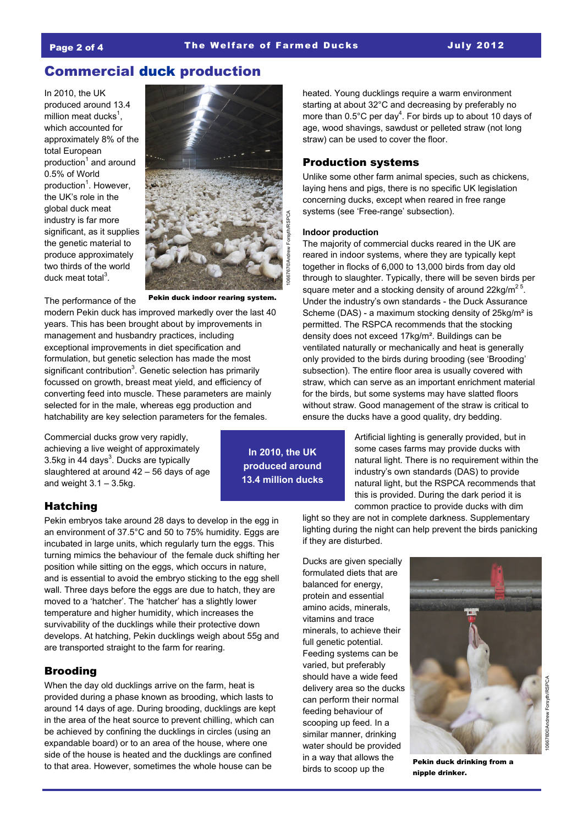### Commercial duck production

In 2010, the UK produced around 13.4 million meat ducks<sup>1</sup>, which accounted for approximately 8% of the total European production<sup>1</sup> and around 0.5% of World production<sup>1</sup>. However, the UK's role in the global duck meat industry is far more significant, as it supplies the genetic material to produce approximately two thirds of the world duck meat total<sup>3</sup>.

The performance of the



Pekin duck indoor rearing system.

modern Pekin duck has improved markedly over the last 40 years. This has been brought about by improvements in management and husbandry practices, including exceptional improvements in diet specification and formulation, but genetic selection has made the most significant contribution<sup>3</sup>. Genetic selection has primarily focussed on growth, breast meat yield, and efficiency of converting feed into muscle. These parameters are mainly selected for in the male, whereas egg production and hatchability are key selection parameters for the females.

Commercial ducks grow very rapidly, achieving a live weight of approximately 3.5kg in 44 days $3$ . Ducks are typically slaughtered at around 42 – 56 days of age and weight  $3.1 - 3.5$ kg.

### Hatching

Pekin embryos take around 28 days to develop in the egg in an environment of 37.5°C and 50 to 75% humidity. Eggs are incubated in large units, which regularly turn the eggs. This turning mimics the behaviour of the female duck shifting her position while sitting on the eggs, which occurs in nature, and is essential to avoid the embryo sticking to the egg shell wall. Three days before the eggs are due to hatch, they are moved to a 'hatcher'. The 'hatcher' has a slightly lower temperature and higher humidity, which increases the survivability of the ducklings while their protective down develops. At hatching, Pekin ducklings weigh about 55g and are transported straight to the farm for rearing.

### **Brooding**

When the day old ducklings arrive on the farm, heat is provided during a phase known as brooding, which lasts to around 14 days of age. During brooding, ducklings are kept in the area of the heat source to prevent chilling, which can be achieved by confining the ducklings in circles (using an expandable board) or to an area of the house, where one side of the house is heated and the ducklings are confined to that area. However, sometimes the whole house can be

**In 2010, the UK produced around** 

heated. Young ducklings require a warm environment starting at about 32°C and decreasing by preferably no more than  $0.5^{\circ}$ C per day<sup>4</sup>. For birds up to about 10 days of age, wood shavings, sawdust or pelleted straw (not long straw) can be used to cover the floor.

### Production systems

Unlike some other farm animal species, such as chickens, laying hens and pigs, there is no specific UK legislation concerning ducks, except when reared in free range systems (see 'Free-range' subsection).

#### **Indoor production**

The majority of commercial ducks reared in the UK are reared in indoor systems, where they are typically kept together in flocks of 6,000 to 13,000 birds from day old through to slaughter. Typically, there will be seven birds per square meter and a stocking density of around  $22 \text{kg/m}^2$ <sup>5</sup>. Under the industry's own standards - the Duck Assurance Scheme (DAS) - a maximum stocking density of 25kg/m² is permitted. The RSPCA recommends that the stocking density does not exceed 17kg/m². Buildings can be ventilated naturally or mechanically and heat is generally only provided to the birds during brooding (see 'Brooding' subsection). The entire floor area is usually covered with straw, which can serve as an important enrichment material for the birds, but some systems may have slatted floors without straw. Good management of the straw is critical to ensure the ducks have a good quality, dry bedding. Franchild System<br>
11606<br>
11606<br>
11606<br>
11606<br>
11606<br>
11606<br>
11606<br>
11606<br>
11606<br>
11606<br>
11606<br>
11606<br>
11606<br>
11606<br>
11606<br>
11606<br>
11606<br>
11606<br>
11606<br>
11606<br>
11606<br>
11606<br>
11606<br>
11606<br>
11606<br>
11606<br>
11606<br>
11606<br>
11606<br>
1

Artificial lighting is generally provided, but in some cases farms may provide ducks with natural light. There is no requirement within the industry's own standards (DAS) to provide natural light, but the RSPCA recommends that this is provided. During the dark period it is common practice to provide ducks with dim

light so they are not in complete darkness. Supplementary lighting during the night can help prevent the birds panicking if they are disturbed.

Ducks are given specially formulated diets that are balanced for energy, protein and essential amino acids, minerals, vitamins and trace minerals, to achieve their full genetic potential. Feeding systems can be varied, but preferably should have a wide feed delivery area so the ducks can perform their normal feeding behaviour of scooping up feed. In a similar manner, drinking water should be provided in a way that allows the birds to scoop up the



Pekin duck drinking from a nipple drinker.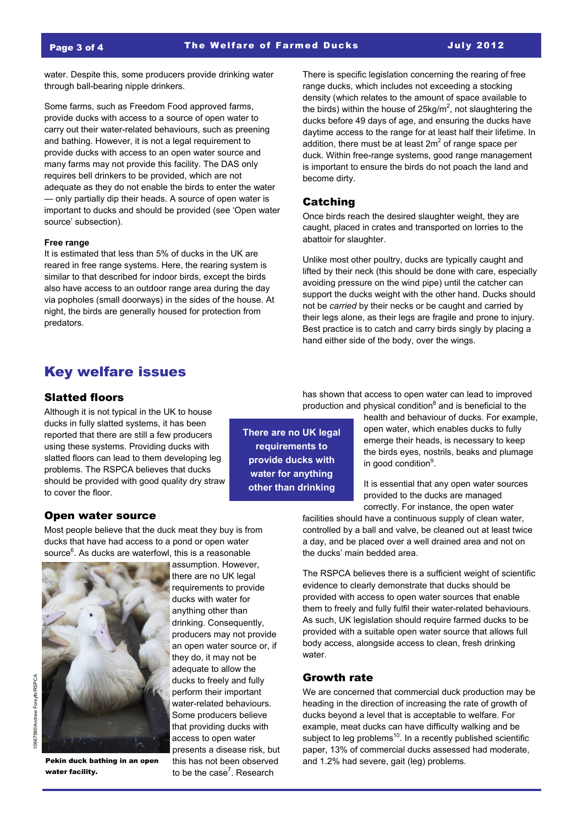water. Despite this, some producers provide drinking water through ball-bearing nipple drinkers.

Some farms, such as Freedom Food approved farms, provide ducks with access to a source of open water to carry out their water-related behaviours, such as preening and bathing. However, it is not a legal requirement to provide ducks with access to an open water source and many farms may not provide this facility. The DAS only requires bell drinkers to be provided, which are not adequate as they do not enable the birds to enter the water — only partially dip their heads. A source of open water is important to ducks and should be provided (see 'Open water source' subsection).

#### **Free range**

It is estimated that less than 5% of ducks in the UK are reared in free range systems. Here, the rearing system is similar to that described for indoor birds, except the birds also have access to an outdoor range area during the day via popholes (small doorways) in the sides of the house. At night, the birds are generally housed for protection from predators.

There is specific legislation concerning the rearing of free range ducks, which includes not exceeding a stocking density (which relates to the amount of space available to the birds) within the house of 25kg/m<sup>2</sup>, not slaughtering the ducks before 49 days of age, and ensuring the ducks have daytime access to the range for at least half their lifetime. In addition, there must be at least  $2m^2$  of range space per duck. Within free-range systems, good range management is important to ensure the birds do not poach the land and become dirty.

### Catching

**There are no UK legal requirements to provide ducks with water for anything other than drinking** 

Once birds reach the desired slaughter weight, they are caught, placed in crates and transported on lorries to the abattoir for slaughter.

Unlike most other poultry, ducks are typically caught and lifted by their neck (this should be done with care, especially avoiding pressure on the wind pipe) until the catcher can support the ducks weight with the other hand. Ducks should not be *carried* by their necks or be caught and carried by their legs alone, as their legs are fragile and prone to injury. Best practice is to catch and carry birds singly by placing a hand either side of the body, over the wings.

### Key welfare issues

#### Slatted floors

Although it is not typical in the UK to house ducks in fully slatted systems, it has been reported that there are still a few producers using these systems. Providing ducks with slatted floors can lead to them developing leg problems. The RSPCA believes that ducks should be provided with good quality dry straw to cover the floor.

### Open water source

Most people believe that the duck meat they buy is from ducks that have had access to a pond or open water source<sup>6</sup>. As ducks are waterfowl, this is a reasonable



Pekin duck bathing in an open water facility.

assumption. However, there are no UK legal requirements to provide ducks with water for anything other than drinking. Consequently, producers may not provide an open water source or, if they do, it may not be adequate to allow the ducks to freely and fully perform their important water-related behaviours. Some producers believe that providing ducks with access to open water presents a disease risk, but this has not been observed to be the case<sup>7</sup>. Research

has shown that access to open water can lead to improved production and physical condition<sup>8</sup> and is beneficial to the

> health and behaviour of ducks. For example, open water, which enables ducks to fully emerge their heads, is necessary to keep the birds eyes, nostrils, beaks and plumage in good condition<sup>9</sup>.

It is essential that any open water sources provided to the ducks are managed correctly. For instance, the open water

facilities should have a continuous supply of clean water, controlled by a ball and valve, be cleaned out at least twice a day, and be placed over a well drained area and not on the ducks' main bedded area.

The RSPCA believes there is a sufficient weight of scientific evidence to clearly demonstrate that ducks should be provided with access to open water sources that enable them to freely and fully fulfil their water-related behaviours. As such, UK legislation should require farmed ducks to be provided with a suitable open water source that allows full body access, alongside access to clean, fresh drinking water.

#### Growth rate

We are concerned that commercial duck production may be heading in the direction of increasing the rate of growth of ducks beyond a level that is acceptable to welfare. For example, meat ducks can have difficulty walking and be subject to leg problems $10$ . In a recently published scientific paper, 13% of commercial ducks assessed had moderate, and 1.2% had severe, gait (leg) problems.